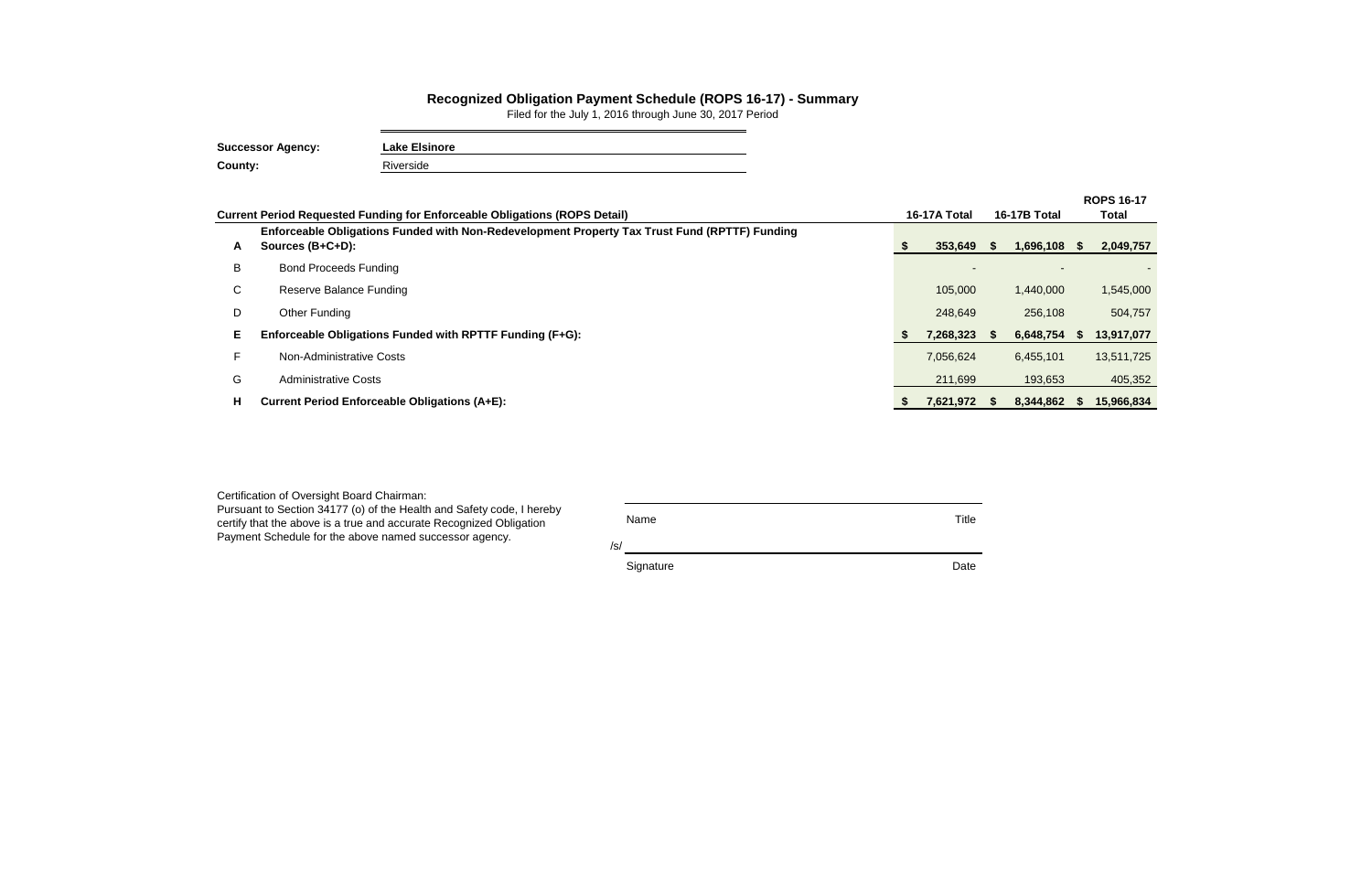| Certification of Oversight Board Chairman:                                                                                                                                                             |             |       |
|--------------------------------------------------------------------------------------------------------------------------------------------------------------------------------------------------------|-------------|-------|
| Pursuant to Section 34177 (o) of the Health and Safety code, I hereby<br>certify that the above is a true and accurate Recognized Obligation<br>Payment Schedule for the above named successor agency. | Name<br>/s/ | Title |
|                                                                                                                                                                                                        | Signature   | Date  |

|    |                                                                                                                   |          |              |      |                |       | <b>ROPS 16-17</b> |  |
|----|-------------------------------------------------------------------------------------------------------------------|----------|--------------|------|----------------|-------|-------------------|--|
|    | <b>Current Period Requested Funding for Enforceable Obligations (ROPS Detail)</b>                                 |          | 16-17A Total |      | 16-17B Total   | Total |                   |  |
| A  | Enforceable Obligations Funded with Non-Redevelopment Property Tax Trust Fund (RPTTF) Funding<br>Sources (B+C+D): | <u>ж</u> | 353,649      | - 56 | $1,696,108$ \$ |       | 2,049,757         |  |
| B  | <b>Bond Proceeds Funding</b>                                                                                      |          |              |      |                |       |                   |  |
| C  | Reserve Balance Funding                                                                                           |          | 105,000      |      | 1,440,000      |       | 1,545,000         |  |
| D  | <b>Other Funding</b>                                                                                              |          | 248,649      |      | 256,108        |       | 504,757           |  |
| Е  | Enforceable Obligations Funded with RPTTF Funding (F+G):                                                          | - 56     | 7,268,323    |      | 6,648,754      | - 55  | 13,917,077        |  |
|    | Non-Administrative Costs                                                                                          |          | 7,056,624    |      | 6,455,101      |       | 13,511,725        |  |
| G  | <b>Administrative Costs</b>                                                                                       |          | 211,699      |      | 193,653        |       | 405,352           |  |
| H. | <b>Current Period Enforceable Obligations (A+E):</b>                                                              | - 55     | 7,621,972    |      | 8,344,862      | - 55  | 15,966,834        |  |

## **Recognized Obligation Payment Schedule (ROPS 16-17) - Summary**

Filed for the July 1, 2016 through June 30, 2017 Period

| <b>Successor Agency:</b> | <b>Lake Elsinore</b> |
|--------------------------|----------------------|
| <b>County:</b>           | Riverside            |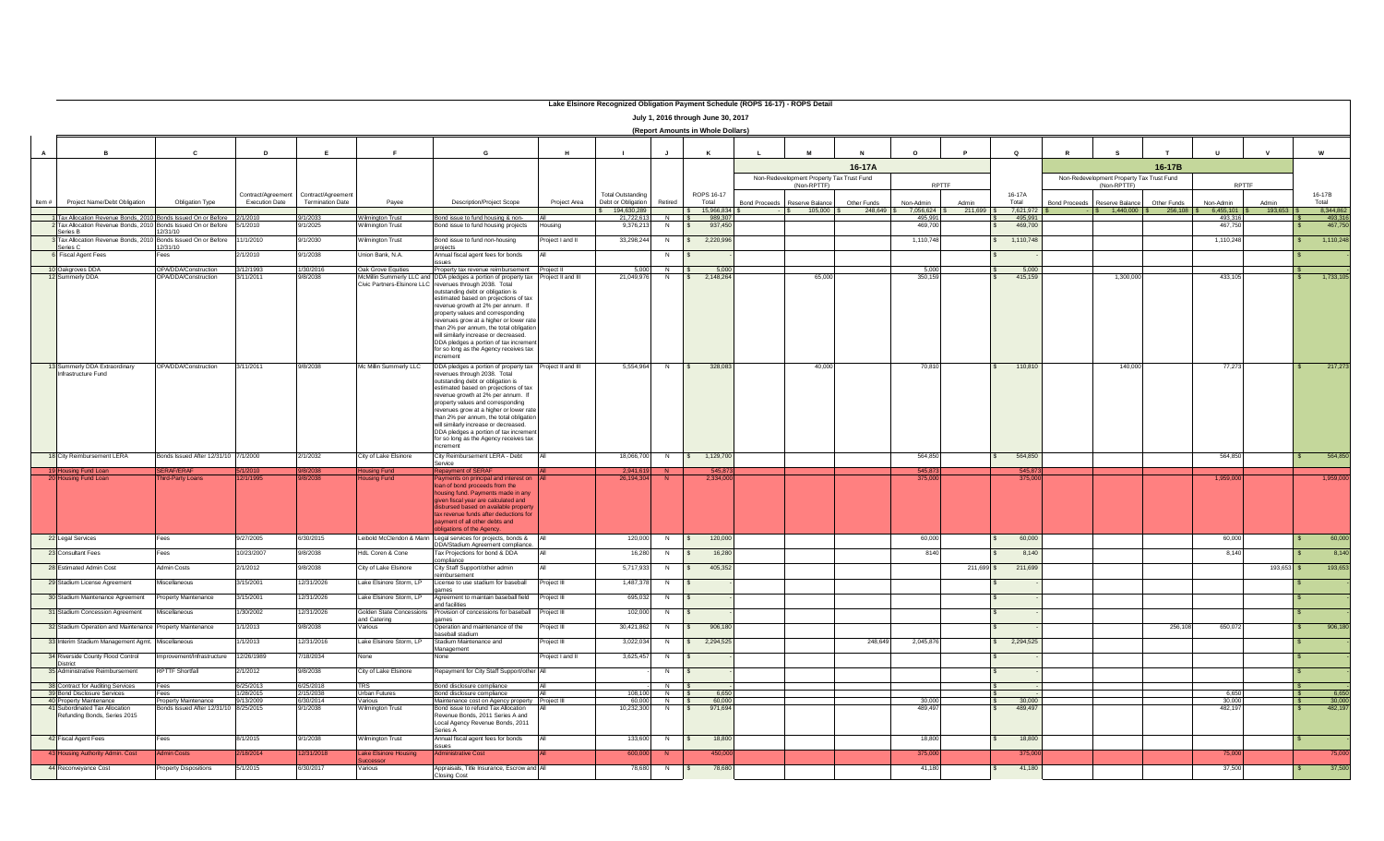|                | Lake Elsinore Recognized Obligation Payment Schedule (ROPS 16-17) - ROPS Detail                                                         |                                              |                                             |                                               |                                                 |                                                                                                                                                |                 |                                                |                     |                                    |                                                          |              |                        |            |                    |                                                          |                          |              |                  |
|----------------|-----------------------------------------------------------------------------------------------------------------------------------------|----------------------------------------------|---------------------------------------------|-----------------------------------------------|-------------------------------------------------|------------------------------------------------------------------------------------------------------------------------------------------------|-----------------|------------------------------------------------|---------------------|------------------------------------|----------------------------------------------------------|--------------|------------------------|------------|--------------------|----------------------------------------------------------|--------------------------|--------------|------------------|
|                | July 1, 2016 through June 30, 2017<br>(Report Amounts in Whole Dollars)                                                                 |                                              |                                             |                                               |                                                 |                                                                                                                                                |                 |                                                |                     |                                    |                                                          |              |                        |            |                    |                                                          |                          |              |                  |
|                |                                                                                                                                         |                                              |                                             |                                               |                                                 |                                                                                                                                                |                 |                                                |                     |                                    |                                                          |              |                        |            |                    |                                                          |                          |              |                  |
| $\overline{A}$ | <b>B</b>                                                                                                                                | $\mathbf{c}$                                 | D                                           | E                                             | E                                               | G                                                                                                                                              | H               |                                                | $\mathbf{J}$        | $\kappa$                           | M<br>$\mathbf{I}$                                        | $\mathbf{N}$ | $\Omega$               | P          | $\circ$            | $\mathbb{R}$<br><b>s</b>                                 | $\mathbf{u}$<br>T        | $\mathbf{v}$ | w                |
|                |                                                                                                                                         |                                              |                                             |                                               |                                                 |                                                                                                                                                |                 |                                                |                     |                                    |                                                          | 16-17A       |                        |            |                    |                                                          | 16-17B                   |              |                  |
|                |                                                                                                                                         |                                              |                                             |                                               |                                                 |                                                                                                                                                |                 |                                                |                     |                                    | Non-Redevelopment Property Tax Trust Fund<br>(Non-RPTTF) |              | RPTTF                  |            |                    | Non-Redevelopment Property Tax Trust Fund<br>(Non-RPTTF) |                          | RPTTF        |                  |
| Item #         | Project Name/Debt Obligation                                                                                                            | Obligation Type                              | Contract/Agreement<br><b>Execution Date</b> | Contract/Agreement<br><b>Termination Date</b> | Payee                                           | Description/Project Scope                                                                                                                      | Project Area    | <b>Total Outstanding</b><br>Debt or Obligation | Retired             | ROPS 16-17<br>Total                | <b>Bond Proceeds</b><br>Reserve Balance                  | Other Funds  | Non-Admin              | Admin      | 16-17A<br>Total    | <b>Bond Proceeds</b><br>Reserve Balance                  | Other Funds<br>Non-Admin | Admin        | 16-17B<br>Total  |
|                |                                                                                                                                         |                                              |                                             |                                               |                                                 |                                                                                                                                                |                 | 194,630,289                                    |                     | 15,966,834 \$                      | $$ 105,000$ \$                                           |              | 248,649 \$7,056,624 \$ | 211,699    | 7,621,972          | $$ 1,440,000$ $$ $                                       | 256,108 \$ 6,455,101 \$  | 193,653      | 8,344,862        |
|                | Tax Allocation Revenue Bonds, 2010 Bonds Issued On or Before 2/1/2010<br>2 Tax Allocation Revenue Bonds, 2010 Bonds Issued On or Before |                                              | 5/1/2010                                    | 9/1/2033<br>9/1/2025                          | Wilmington Trust<br>Vilminaton Trust            | Bond issue to fund housing & non-<br>Bond issue to fund housing projects                                                                       | Housing         | 21,722,613<br>9,376,213                        | $\overline{N}$      | 989,307<br>937,450<br>IS.          |                                                          |              | 495,991<br>469,700     |            | 495,991<br>469,700 |                                                          | 493,316<br>467,750       |              | 493,31<br>467,75 |
|                | Series B<br>Tax Allocation Revenue Bonds, 2010 Bonds Issued On or Before                                                                | 12/31/10                                     | 11/1/2010                                   | 9/1/2030                                      | Wilmington Trust                                | Bond issue to fund non-housing                                                                                                                 | Project I and I | 33,298,244                                     | N                   | 2,220,996<br>$\sim$                |                                                          |              | 1,110,748              |            | 1,110,748          |                                                          | 1,110,248                |              | 1,110,24         |
|                | Series C<br>Fiscal Agent Fees                                                                                                           | 12/31/10<br>Fees                             | 2/1/2010                                    | 9/1/2038                                      | Union Bank, N.A.                                | projects<br>Annual fiscal agent fees for bonds                                                                                                 | All             |                                                | N                   |                                    |                                                          |              |                        |            |                    |                                                          |                          |              |                  |
|                | 10 Oakgroves DDA                                                                                                                        | OPA/DDA/Construction                         | 3/12/1993                                   | 1/30/2016                                     | Oak Grove Equities                              | SSURS<br>Property tax revenue reimbursement Project II                                                                                         |                 | 5.000                                          | $N$ $S$             | 5.000                              |                                                          |              | 5.000                  |            | 5.000              |                                                          |                          |              |                  |
|                | 12 Summerly DDA                                                                                                                         | OPA/DDA/Construction                         | 3/11/2011                                   | 9/8/2038                                      |                                                 | McMillin Summerly LLC and DDA pledges a portion of property tax Project II and III<br>Civic Partners-Elsinore LLC revenues through 2038. Total |                 | 21,049,976                                     | N                   | 2,148,264                          | 65,000                                                   |              | 350,159                |            | 415,159            | 1,300,000                                                | 433,105                  |              | 1,733,105        |
|                |                                                                                                                                         |                                              |                                             |                                               |                                                 | outstanding debt or obligation is<br>estimated based on projections of tax                                                                     |                 |                                                |                     |                                    |                                                          |              |                        |            |                    |                                                          |                          |              |                  |
|                |                                                                                                                                         |                                              |                                             |                                               |                                                 | revenue growth at 2% per annum. If<br>property values and corresponding                                                                        |                 |                                                |                     |                                    |                                                          |              |                        |            |                    |                                                          |                          |              |                  |
|                |                                                                                                                                         |                                              |                                             |                                               |                                                 | revenues grow at a higher or lower rate<br>than 2% per annum, the total obligation                                                             |                 |                                                |                     |                                    |                                                          |              |                        |            |                    |                                                          |                          |              |                  |
|                |                                                                                                                                         |                                              |                                             |                                               |                                                 | will similarly increase or decreased.                                                                                                          |                 |                                                |                     |                                    |                                                          |              |                        |            |                    |                                                          |                          |              |                  |
|                |                                                                                                                                         |                                              |                                             |                                               |                                                 | DDA pledges a portion of tax increment<br>for so long as the Agency receives tax                                                               |                 |                                                |                     |                                    |                                                          |              |                        |            |                    |                                                          |                          |              |                  |
|                | 13 Summerly DDA Extraordinary                                                                                                           | OPA/DDA/Construction                         | 3/11/2011                                   | 9/8/2038                                      | Mc Millin Summerly LLC                          | increment<br>DDA pledges a portion of property tax Project II and III                                                                          |                 | 5,554,964                                      | N                   | $\sqrt{S}$<br>328,083              | 40,000                                                   |              | 70,810                 |            | 110,810            | 140,000                                                  | 77,273                   |              | 217,273          |
|                | Infrastructure Fund                                                                                                                     |                                              |                                             |                                               |                                                 | revenues through 2038. Total<br>outstanding debt or obligation is                                                                              |                 |                                                |                     |                                    |                                                          |              |                        |            |                    |                                                          |                          |              |                  |
|                |                                                                                                                                         |                                              |                                             |                                               |                                                 | estimated based on projections of tax<br>revenue growth at 2% per annum. If                                                                    |                 |                                                |                     |                                    |                                                          |              |                        |            |                    |                                                          |                          |              |                  |
|                |                                                                                                                                         |                                              |                                             |                                               |                                                 | property values and corresponding<br>revenues grow at a higher or lower rate                                                                   |                 |                                                |                     |                                    |                                                          |              |                        |            |                    |                                                          |                          |              |                  |
|                |                                                                                                                                         |                                              |                                             |                                               |                                                 | than 2% per annum, the total obligation<br>will similarly increase or decreased.                                                               |                 |                                                |                     |                                    |                                                          |              |                        |            |                    |                                                          |                          |              |                  |
|                |                                                                                                                                         |                                              |                                             |                                               |                                                 | DDA pledges a portion of tax increment                                                                                                         |                 |                                                |                     |                                    |                                                          |              |                        |            |                    |                                                          |                          |              |                  |
|                |                                                                                                                                         |                                              |                                             |                                               |                                                 | for so long as the Agency receives tax<br>increment                                                                                            |                 |                                                |                     |                                    |                                                          |              |                        |            |                    |                                                          |                          |              |                  |
|                | 18 City Reimbursement LERA                                                                                                              | Bonds Issued After 12/31/10 7/1/2000         |                                             | 2/1/2032                                      | City of Lake Elsinore                           | City Reimbursement LERA - Debt<br>Service                                                                                                      | All             | 18,066,700                                     | N                   | \$ 1,129,700                       |                                                          |              | 564,850                |            | 564,850            |                                                          | 564,850                  |              | 564,850          |
|                | 19 Housing Fund Loan<br>20 Housing Fund Loan                                                                                            | <b>ERAF/ERAF</b><br><b>Third-Party Loans</b> | 12/1/1995                                   | 9/8/2038<br>9/8/2038                          | Housing Fund<br>tousina Fund                    | <b>Repayment of SERAF</b><br>Payments on principal and interest on A                                                                           |                 | 2,941,61<br>26.194.304                         | -N                  | 545,873<br>2,334,000               |                                                          |              | 545,87<br>375,00       |            | 545,87<br>375,000  |                                                          | 1,959,000                |              | 1,959,000        |
|                |                                                                                                                                         |                                              |                                             |                                               |                                                 | loan of bond proceeds from the<br>housing fund. Payments made in any                                                                           |                 |                                                |                     |                                    |                                                          |              |                        |            |                    |                                                          |                          |              |                  |
|                |                                                                                                                                         |                                              |                                             |                                               |                                                 | given fiscal year are calculated and<br>disbursed based on available property                                                                  |                 |                                                |                     |                                    |                                                          |              |                        |            |                    |                                                          |                          |              |                  |
|                |                                                                                                                                         |                                              |                                             |                                               |                                                 | tax revenue funds after deductions for                                                                                                         |                 |                                                |                     |                                    |                                                          |              |                        |            |                    |                                                          |                          |              |                  |
|                |                                                                                                                                         |                                              |                                             |                                               |                                                 | payment of all other debts and<br>bligations of the Agency.                                                                                    |                 |                                                |                     |                                    |                                                          |              |                        |            |                    |                                                          |                          |              |                  |
|                | 22 Legal Services                                                                                                                       | Fees                                         | 9/27/2005                                   | 6/30/2015                                     |                                                 | eibold McClendon & Mann Legal services for projects, bonds &<br>DDA/Stadium Agreement compliance.                                              | AII             | 120,000                                        | N                   | 120,000                            |                                                          |              | 60,000                 |            | 60,000             |                                                          | 60,000                   |              | 60,000           |
|                | 23 Consultant Fees                                                                                                                      | Fees                                         | 10/23/2007                                  | 9/8/2038                                      | HdL Coren & Cone                                | Tax Projections for bond & DDA<br>compliance                                                                                                   | All             | 16,280                                         | N                   | 16,280                             |                                                          |              | 8140                   |            | 8,140              |                                                          |                          | 8,140        | 8,140            |
|                | 28 Estimated Admin Cost                                                                                                                 | <b>Admin Costs</b>                           | 2/1/2012                                    | 9/8/2038                                      | City of Lake Elsinore                           | City Staff Support/other admin<br>eimbursement                                                                                                 | <b>AI</b>       | 5.717.933                                      | N                   | 405,352<br>$\overline{\mathbf{s}}$ |                                                          |              |                        | 211,699 \$ | 211.699            |                                                          |                          | $193.653$ \$ | 193,653          |
|                | 29 Stadium License Agreement                                                                                                            | Miscellaneous                                | 3/15/2001                                   | 2/31/2026                                     | ake Elsinore Storm, LP                          | License to use stadium for baseball<br>ames                                                                                                    | Project III     | 1,487,378                                      | N                   |                                    |                                                          |              |                        |            |                    |                                                          |                          |              |                  |
|                | 30 Stadium Maintenance Agreement                                                                                                        | Property Maintenance                         | 3/15/2001                                   | 2/31/2026                                     | Lake Elsinore Storm, LP                         | Agreement to maintain baseball field<br>and facilities                                                                                         | Project III     | 695.032                                        | N                   | $\sim$                             |                                                          |              |                        |            |                    |                                                          |                          |              |                  |
|                | 31 Stadium Concession Agreement                                                                                                         | Miscellaneous                                | 1/30/2002                                   | 12/31/2026                                    | Golden State Concessions<br><b>Ind Catering</b> | Provision of concessions for baseball<br>ımes                                                                                                  | Project III     | 102,000                                        | N                   |                                    |                                                          |              |                        |            |                    |                                                          |                          |              |                  |
|                | 32 Stadium Operation and Maintenance Property Maintenance                                                                               |                                              | 1/1/2013                                    | 9/8/2038                                      | Various                                         | Operation and maintenance of the<br>haseball stadium                                                                                           | Project III     | 30,421,862                                     | N                   | 906,180<br>$\sim$                  |                                                          |              |                        |            |                    |                                                          | 256,108<br>650,072       |              | 906,18           |
|                | 33 Interim Stadium Management Agmt. Miscellaneous                                                                                       |                                              | 1/1/2013                                    | 12/31/2016                                    | Lake Elsinore Storm, LP                         | Stadium Maintenance and<br>Management                                                                                                          | Project III     | 3,022,034                                      | N                   | 2,294,525<br>$\mathbf{s}$          |                                                          | 248,649      | 2,045,876              |            | 2,294,525          |                                                          |                          |              |                  |
|                | 34 Riverside County Flood Control<br>District                                                                                           | Improvement/Infrastructure                   | 12/26/1989                                  | /18/2034                                      | None                                            | None                                                                                                                                           | Project Land II | 3.625.45                                       | N                   |                                    |                                                          |              |                        |            |                    |                                                          |                          |              |                  |
|                | 35 Administrative Reimbursement                                                                                                         | <b>RPTTF Shortfall</b>                       | 2/1/2012                                    | 9/8/2038                                      | City of Lake Elsinore                           | Repayment for City Staff Support/other All                                                                                                     |                 |                                                | N                   |                                    |                                                          |              |                        |            |                    |                                                          |                          |              |                  |
|                | 38 Contract for Auditing Services                                                                                                       | Fees                                         | 6/25/2013                                   | 6/25/2018                                     | <b>TRS</b>                                      | Bond disclosure compliance                                                                                                                     | All             |                                                | $N$   :             |                                    |                                                          |              |                        |            |                    |                                                          |                          |              |                  |
|                | 39 Bond Disclosure Services<br>40 Property Maintenance                                                                                  | Fees<br>Property Maintenance                 | 1/28/2015<br>9/13/2009                      | 2/15/2038<br>6/30/2014                        | <b>Urban Futures</b><br>Various                 | Bond disclosure compliance<br>Maintenance cost on Agency property Project III                                                                  |                 | 108,100<br>60,000                              | N<br>$\overline{z}$ | 6,650<br>60,000                    |                                                          |              | 30,000                 |            | 30,000             |                                                          | 6,650<br>30,000          |              | 6,65<br>30,00    |
|                | 41 Subordinated Tax Allocation<br>Refunding Bonds, Series 2015                                                                          | Bonds Issued After 12/31/10 8/25/2015        |                                             | 9/1/2038                                      | Wilmington Trust                                | Bond issue to refund Tax Allocation<br>Revenue Bonds, 2011 Series A and                                                                        |                 | 10,232,300                                     | $\overline{N}$      | 971,694<br>$\sqrt{s}$              |                                                          |              | 489,497                |            | 489,497            |                                                          | 482,197                  |              | 482,19           |
|                |                                                                                                                                         |                                              |                                             |                                               |                                                 | Local Agency Revenue Bonds, 2011<br>Series A                                                                                                   |                 |                                                |                     |                                    |                                                          |              |                        |            |                    |                                                          |                          |              |                  |
|                | 42 Fiscal Agent Fees                                                                                                                    | ees                                          | 8/1/2015                                    | 9/1/2038                                      | Wilmington Trust                                | Annual fiscal agent fees for bonds<br>ssues                                                                                                    | All             | 133,600                                        | N                   | 18.800                             |                                                          |              | 18,800                 |            | 18.800             |                                                          |                          |              |                  |
|                | 43 Housing Authority Admin. Cost                                                                                                        | <b>Admin Costs</b>                           | 2/18/2014                                   | 12/31/2018                                    | Lake Elsinore Housing                           | <b>Administrative Cost</b>                                                                                                                     |                 | 600,000                                        | N                   | 450,000                            |                                                          |              | 375,000                |            | 375,000            |                                                          | 75,000                   |              | 75,00            |
|                | 44 Reconveyance Cost                                                                                                                    | Property Dispositions                        | 5/1/2015                                    | 6/30/2017                                     | Various                                         | Appraisals, Title Insurance, Escrow and All<br>Closing Cost                                                                                    |                 | 78,680                                         | N                   | 78,680                             |                                                          |              | 41,180                 |            | 41,180             |                                                          | 37,500                   |              | 37,500           |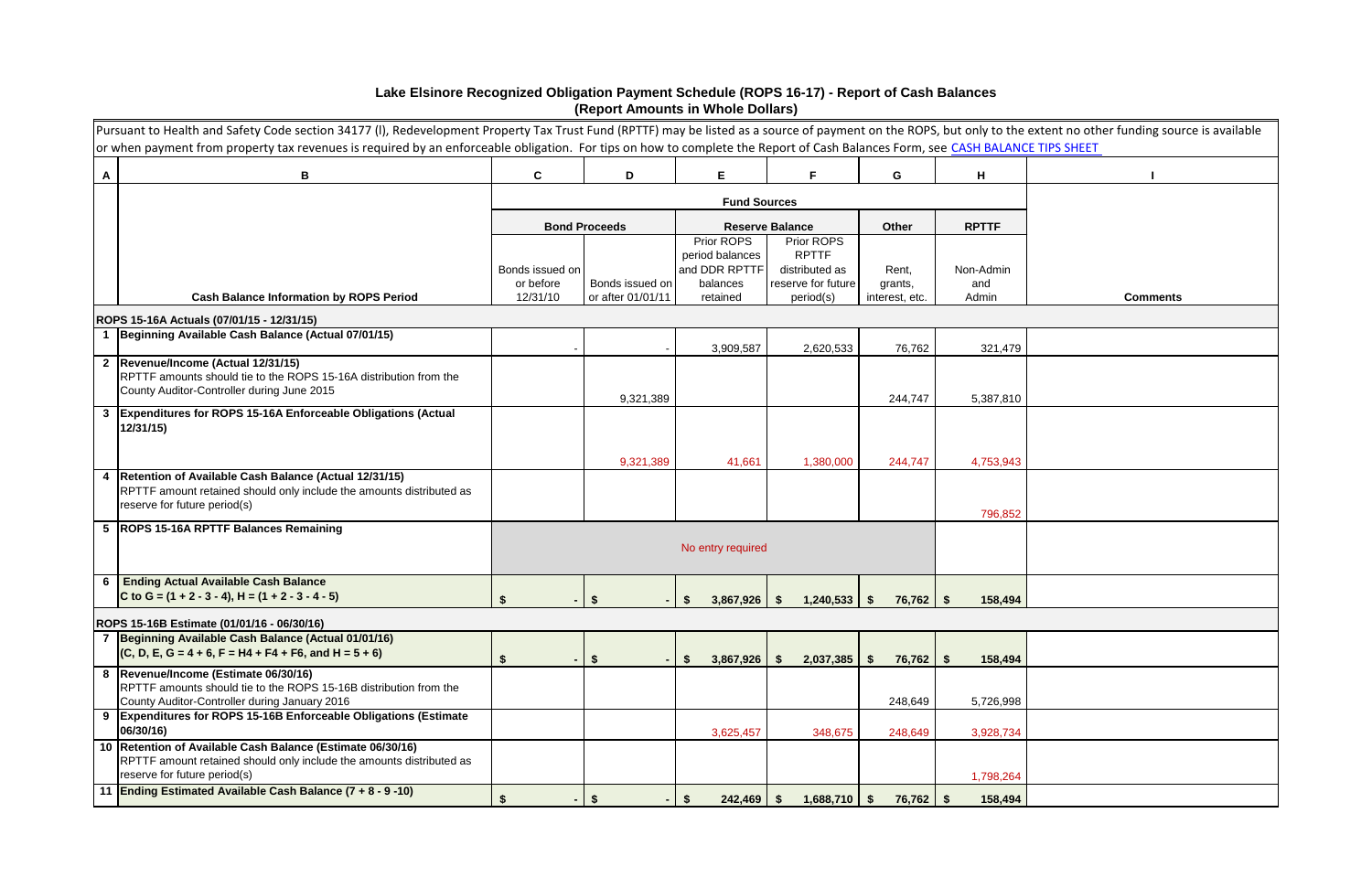|   | Pursuant to Health and Safety Code section 34177 (I), Redevelopment Property Tax Trust Fund (RPTTF) may be listed as a source of payment on the ROPS, but only to the extent no other funding source is available<br>or when payment from property tax revenues is required by an enforceable obligation. For tips on how to complete the Report of Cash Balances Form, see CASH BALANCE TIPS SHEET |                              |                      |                               |                                      |                   |                  |                 |
|---|-----------------------------------------------------------------------------------------------------------------------------------------------------------------------------------------------------------------------------------------------------------------------------------------------------------------------------------------------------------------------------------------------------|------------------------------|----------------------|-------------------------------|--------------------------------------|-------------------|------------------|-----------------|
| A | B                                                                                                                                                                                                                                                                                                                                                                                                   | $\mathbf{C}$                 | D                    | E                             | F                                    | G                 | H                |                 |
|   |                                                                                                                                                                                                                                                                                                                                                                                                     |                              |                      | <b>Fund Sources</b>           |                                      |                   |                  |                 |
|   |                                                                                                                                                                                                                                                                                                                                                                                                     |                              | <b>Bond Proceeds</b> |                               | <b>Reserve Balance</b>               | Other             | <b>RPTTF</b>     |                 |
|   |                                                                                                                                                                                                                                                                                                                                                                                                     |                              |                      | Prior ROPS<br>period balances | Prior ROPS<br><b>RPTTF</b>           |                   |                  |                 |
|   |                                                                                                                                                                                                                                                                                                                                                                                                     | Bonds issued on<br>or before | Bonds issued on      | and DDR RPTTF<br>balances     | distributed as<br>reserve for future | Rent,<br>grants,  | Non-Admin<br>and |                 |
|   | <b>Cash Balance Information by ROPS Period</b>                                                                                                                                                                                                                                                                                                                                                      | 12/31/10                     | or after 01/01/11    | retained                      | period(s)                            | interest, etc.    | Admin            | <b>Comments</b> |
|   | ROPS 15-16A Actuals (07/01/15 - 12/31/15)                                                                                                                                                                                                                                                                                                                                                           |                              |                      |                               |                                      |                   |                  |                 |
|   | 1 Beginning Available Cash Balance (Actual 07/01/15)                                                                                                                                                                                                                                                                                                                                                |                              |                      | 3,909,587                     | 2,620,533                            | 76,762            | 321,479          |                 |
|   | 2  Revenue/Income (Actual 12/31/15)<br>RPTTF amounts should tie to the ROPS 15-16A distribution from the<br>County Auditor-Controller during June 2015                                                                                                                                                                                                                                              |                              |                      |                               |                                      |                   |                  |                 |
|   | 3 Expenditures for ROPS 15-16A Enforceable Obligations (Actual                                                                                                                                                                                                                                                                                                                                      |                              | 9,321,389            |                               |                                      | 244,747           | 5,387,810        |                 |
|   | 12/31/15)                                                                                                                                                                                                                                                                                                                                                                                           |                              |                      |                               |                                      |                   |                  |                 |
|   |                                                                                                                                                                                                                                                                                                                                                                                                     |                              | 9,321,389            | 41,661                        | 1,380,000                            | 244,747           | 4,753,943        |                 |
|   | 4   Retention of Available Cash Balance (Actual 12/31/15)<br>RPTTF amount retained should only include the amounts distributed as<br>reserve for future period(s)                                                                                                                                                                                                                                   |                              |                      |                               |                                      |                   |                  |                 |
|   | 5 ROPS 15-16A RPTTF Balances Remaining                                                                                                                                                                                                                                                                                                                                                              |                              |                      |                               |                                      |                   | 796,852          |                 |
|   |                                                                                                                                                                                                                                                                                                                                                                                                     |                              |                      | No entry required             |                                      |                   |                  |                 |
| 6 | <b>Ending Actual Available Cash Balance</b><br>C to G = $(1 + 2 - 3 - 4)$ , H = $(1 + 2 - 3 - 4 - 5)$                                                                                                                                                                                                                                                                                               |                              | -S                   | 3,867,926<br>\$.              | 1,240,533<br>- S                     | $76,762$ \$<br>-S | 158,494          |                 |
|   | ROPS 15-16B Estimate (01/01/16 - 06/30/16)                                                                                                                                                                                                                                                                                                                                                          |                              |                      |                               |                                      |                   |                  |                 |
|   | 7 Beginning Available Cash Balance (Actual 01/01/16)<br>$(C, D, E, G = 4 + 6, F = H4 + F4 + F6, and H = 5 + 6)$                                                                                                                                                                                                                                                                                     |                              | \$                   | 3,867,926<br>S                | 2,037,385<br><b>S</b>                | $76,762$ \$<br>S. | 158,494          |                 |
|   | 8  Revenue/Income (Estimate 06/30/16)<br>RPTTF amounts should tie to the ROPS 15-16B distribution from the<br>County Auditor-Controller during January 2016                                                                                                                                                                                                                                         |                              |                      |                               |                                      | 248,649           | 5,726,998        |                 |
|   | 9 Expenditures for ROPS 15-16B Enforceable Obligations (Estimate<br>06/30/16)                                                                                                                                                                                                                                                                                                                       |                              |                      | 3,625,457                     | 348,675                              | 248,649           | 3,928,734        |                 |
|   | 10 Retention of Available Cash Balance (Estimate 06/30/16)<br>RPTTF amount retained should only include the amounts distributed as<br>reserve for future period(s)                                                                                                                                                                                                                                  |                              |                      |                               |                                      |                   | 1,798,264        |                 |
|   | 11 Ending Estimated Available Cash Balance (7 + 8 - 9 -10)                                                                                                                                                                                                                                                                                                                                          | \$                           | \$                   | $242,469$ \$<br>\$            | $1,688,710$ \$                       | $76,762$ \$       | 158,494          |                 |

## **Lake Elsinore Recognized Obligation Payment Schedule (ROPS 16-17) - Report of Cash Balances (Report Amounts in Whole Dollars)**